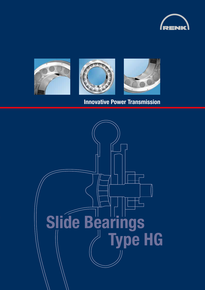





## Innovative Power Transmission

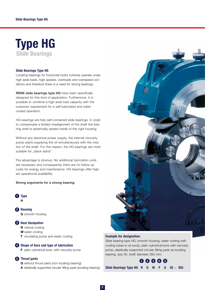

#### Slide Bearings Type HG

Locating bearings for horizontal hydro turbines operate under high axial loads, high speeds, overloads and overspeed conditions and therefore there is a need for strong bearings.

RENK slide bearings type HG have been specifically designed for this kind of application. Furthermore, it is possible to combine a high axial load capacity with the customer requirement for a self-lubricated and water cooled operation.

HG bearings are fully self-contained slide bearings. In order to compensate a limited misalignment of the shaft the bearing shell is spherically seated inside of the rigid housing.

Without any electrical power supply, the internal viscosity pump starts supplying the oil simultaneously with the rotation of the shaft. For this reason, the HG bearings are most suitable for "black starts".

The advantage is obvious. No additional lubrication units are necessary and consequently there are no follow-up costs for energy and maintenance. HG bearings offer highest operational availability.

#### Strong arguments for a strong bearing.



2 Housing **G** smooth housing

- **3** Heat dissipation
	- N natural cooling
	- W water cooling
	- **T** circulating pump and water cooling



**F** plain cylindrical bore, with viscosity pump

#### **6** Thrust parts

Q without thrust parts (non locating bearing)

A elastically supported circular tilting pads (locating bearing)



#### Example for designation:

Slide bearing type HG, smooth housing, water cooling with cooling tubes in oil sump, plain cylindrical bore with viscosity pump, elastically supported circular tilting pads as locating bearing, size 35, shaft diameter 355 mm:

### 5 Thrust parts **OQ** 8 6  $\bullet$  6  $\bullet$  6  $\bullet$  6  $\bullet$  6  $\bullet$  6  $\bullet$  6  $\bullet$  6  $\bullet$  6  $\bullet$  6  $\bullet$  6  $\bullet$  6  $\bullet$  6  $\bullet$  6  $\bullet$  6  $\bullet$  6  $\bullet$  6  $\bullet$  6  $\bullet$  6  $\bullet$  6  $\bullet$  6  $\bullet$  6  $\bullet$  6  $\bullet$  6  $\bullet$  6  $\bullet$  6  $\bullet$  6  $\bullet$  6  $\bullet$  6

Slide Bearings Type HG H G W F A 35 - 355

2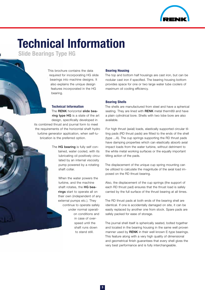

# Technical Information

Slide Bearings Type HG

This brochure contains the data required for incorporating HG slide bearings into machine designs. It also explains the unique design features incorporated in the HG bearing.

#### Technical Information

The RENK horizontal slide bearing type HG is a state of the art design, specifically developed in its combined thrust and journal form to meet the requirements of the horizontal shaft hydro turbine generator application, when self-lubrication is the preferred option.

> The HG bearing is fully self contained, water cooled, with its lubricating oil positively circulated by an internal viscosity pump powered by a rotating shaft collar.

> > When the water powers the turbine, and the machine shaft rotates, the HG bearings start to operate all on their own (independent of any external pumps etc.). They continue to operate safely under normal operation conditions and in case of overspeed until the shaft runs down to stand still.

#### Bearing Housing

The top and bottom half housings are cast iron, but can be nodular cast iron if specified. The bearing housing bottom provides space for one or two large water tube coolers of maximum oil cooling efficiency.

#### Bearing Shells

The shells are manufactured from steel and have a spherical seating. They are lined with RENK metal therm89 and have a plain cylindrical bore. Shells with two lobe bore are also available.

For high thrust (axial) loads, elastically supported circular tilting pads (RD thrust pads) are fitted to the ends of the shell (type ...A). The cup springs supporting the RD thrust pads have damping properties which can elastically absorb axial impact loads from the water turbine, without detriment to the white metal working surfaces or the equally important tilting action of the pads.

The displacement of the unique cup spring mounting can be utilized to calculate the magnitude of the axial load imposed on the RD thrust bearing.

Also, the displacement of the cup springs (the support of each RD thrust pad) ensures that the thrust load is safely carried by the full surface of the thrust bearing at all times.

The RD thrust pads at both ends of the bearing shell are identical. If one is accidentally damaged on site, it can be easily replaced by another one from stock. Spare pads are safely packed for ease of storage.

The journal shell itself is spherically seated, bolted together and located in the bearing housing in the same well proven manner used by **RENK** in their well known E-type bearings. This feature along with a very high quality of dimensional and geometrical finish guarantees that every shell gives the very best performance and is fully interchangeable.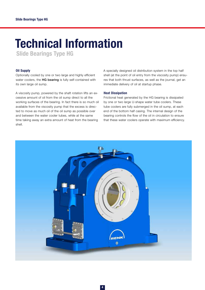## Technical Information

Slide Bearings Type HG

#### Oil Supply

Optionally cooled by one or two large and highly efficient water coolers, the HG bearing is fully self-contained with its own large oil sump.

A viscosity pump, powered by the shaft rotation lifts an excessive amount of oil from the oil sump direct to all the working surfaces of the bearing. In fact there is so much oil available from the viscosity pump that the excess is directed to move as much oil of the oil sump as possible over and between the water cooler tubes, while at the same time taking away an extra amount of heat from the bearing shell.

A specially designed oil distribution system in the top half shell (at the point of oil entry from the viscosity pump) ensures that both thrust surfaces, as well as the journal, get an immediate delivery of oil at startup phase.

#### Heat Dissipation

Frictional heat generated by the HG bearing is dissipated by one or two large U-shape water tube coolers. These tube coolers are fully submerged in the oil sump, at each end of the bottom half casing. The internal design of the bearing controls the flow of the oil in circulation to ensure that these water coolers operate with maximum efficiency.

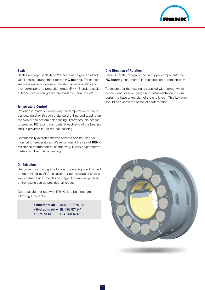

#### Seals

Baffles and rigid seals (type 20) combine to give an effective oil sealing arrangement for the HG bearing. These rigid seals are made of corrosion resistant aluminum alloy and they correspond to protection grade IP 44. Standard seals of higher protection grades are available upon request.

#### Temperature Control

Provision is made for measuring the temperature of the radial bearing shell through a standard drilling and tapping on the side of the bottom half housing. Thermocouple access to selected RD axial thrust pads at each end of the bearing shell is provided in the top half housing.

Commercially available thermo sensors can be used for monitoring temperatures. We recommend the use of RENK resistance thermometers, alternatively, RENK angle thermometers for direct visual reading.

#### Oil Selection

The correct viscosity grade for each operating condition will be determined by EDP calculation. Such calculations are always carried out at the design stage. A computer printout of the results can be provided on request.

Good suitable for use with RENK slide bearings are following lubricants:

- Industrial oil CKB, ISO 6743-6
- Hydraulic oil HL, ISO 6743-4
- Turbine oil TSA, ISO 6743-5

#### One Direction of Rotation

Because of the design of the oil supply components the HG bearing can operate in one direction of rotation only.

To ensure that the bearing is supplied with correct water connections, oil level gauge and instrumentation, it is important to have a key plan of the site layout. This key plan should also show the sense of shaft rotation.

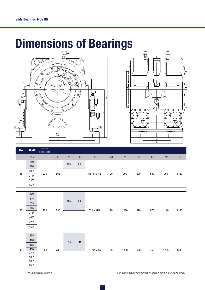# Dimensions of Bearings





| <b>Size</b> | <b>Shaft</b> | effective<br>bearing width |     |     |    |             |    |                |                |     |     |      |
|-------------|--------------|----------------------------|-----|-----|----|-------------|----|----------------|----------------|-----|-----|------|
|             | ØD           | <b>B1</b>                  | b1  | d1  | d2 | d3          | d4 | e <sub>1</sub> | e <sub>2</sub> | h1  | h2  | 1    |
| 28          | 250          | 220                        | 562 | 400 |    |             | 20 | 990            | 300            | 560 | 960 | 1120 |
|             | 280          |                            |     |     | 80 |             |    |                |                |     |     |      |
|             | $300^{1}$    |                            |     |     |    |             |    |                |                |     |     |      |
|             | $315^{1}$    |                            |     |     |    | 55 for M 42 |    |                |                |     |     |      |
|             | $335^{1}$    |                            |     |     |    |             |    |                |                |     |     |      |
|             | $355^{1}$    |                            |     |     |    |             |    |                |                |     |     |      |



| 45 | 375                         | 320 |     | 615 | 112 |             |    | 1330 | 620 | 750 | 1295 | 1480 |
|----|-----------------------------|-----|-----|-----|-----|-------------|----|------|-----|-----|------|------|
|    | 400                         |     |     |     |     | 70 for M 56 |    |      |     |     |      |      |
|    | 425                         |     |     |     |     |             | 25 |      |     |     |      |      |
|    | 450                         |     | 780 |     |     |             |    |      |     |     |      |      |
|    |                             |     |     |     |     |             |    |      |     |     |      |      |
|    | $\frac{475^{11}}{500^{11}}$ |     |     |     |     |             |    |      |     |     |      |      |
|    | $\frac{530^{1}}{560^{1}}$   |     |     |     |     |             |    |      |     |     |      |      |
|    |                             |     |     |     |     |             |    |      |     |     |      |      |

*1) Nonlocating bearing For further technical information please contact our sales office.*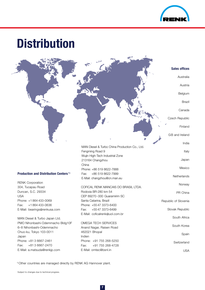

## **Distribution**

#### Production and Distribution Centers<sup>1)</sup>

RENK Corporation 304, Tucapau Road Duncan, S.C. 29334 USA Phone: +1 864 433-0069 Fax: +1 864 433-0636 E-Mail: bearings@renkusa.com

MAN Diesel & Turbo Japan Ltd. PMO Nihonbashi-Odemmacho Bldg10F 6–8 Nihonbashi-Odemmacho Chuo-ku, Tokyo 103-0011 Japan Phone: +81 3 6667-2461 Fax: +81 3 6667-2470 E-Mail: a.matsuda@renkjp.com

COFICAL RENK MANCAIS DO BRASIL LTDA. MAN Diesel & Turbo China Production Co., Ltd. Fengming Road 9 Wujin High-Tech Industrial Zone 213164 Changzhou China Phone: +86 519 8622-7888 Fax: +86 519 8622-7999 E-Mail: changzhou@cn.man.eu

Rodovia BR-280 km 54 CEP 89270-000 Guaramirim SC Santa Catarina, Brazil Phone: +55 47 3373-6400 Fax: +55 47 3373-6499 E-Mail: coficalrenk@uol.com.br

OMEGA TECH SERVICES Anand Nagar, Raisen Road 462021 Bhopal Indien Phone: +91 755 268-5250 Fax: +91 755 268-4728 E-Mail: omtec@bsnl.in

Australia

Sales offices

Austria

Belgium

Brazil

Canada

Czech Republic

Finland

GB and Ireland

India

Italy

Japan

Mexico

**Netherlands** 

Norway

PR China

Republic of Slovenia

Slovak Republic

South Africa

South Korea

Spain

**Switzerland** 

USA

1)Other countries are managed directly by RENK AG Hannover plant.

Subject to changes due to technical progress.